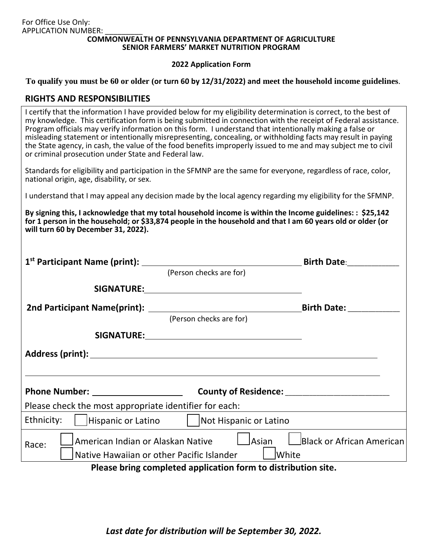#### **COMMONWEALTH OF PENNSYLVANIA DEPARTMENT OF AGRICULTURE SENIOR FARMERS' MARKET NUTRITION PROGRAM**

#### **2022 Application Form**

**To qualify you must be 60 or older (or turn 60 by 12/31/2022) and meet the household income guidelines**.

## **RIGHTS AND RESPONSIBILITIES**

| I certify that the information I have provided below for my eligibility determination is correct, to the best of<br>my knowledge. This certification form is being submitted in connection with the receipt of Federal assistance.<br>Program officials may verify information on this form. I understand that intentionally making a false or<br>misleading statement or intentionally misrepresenting, concealing, or withholding facts may result in paying<br>the State agency, in cash, the value of the food benefits improperly issued to me and may subject me to civil<br>or criminal prosecution under State and Federal law. |
|-----------------------------------------------------------------------------------------------------------------------------------------------------------------------------------------------------------------------------------------------------------------------------------------------------------------------------------------------------------------------------------------------------------------------------------------------------------------------------------------------------------------------------------------------------------------------------------------------------------------------------------------|
|                                                                                                                                                                                                                                                                                                                                                                                                                                                                                                                                                                                                                                         |
|                                                                                                                                                                                                                                                                                                                                                                                                                                                                                                                                                                                                                                         |

Standards for eligibility and participation in the SFMNP are the same for everyone, regardless of race, color, national origin, age, disability, or sex.

I understand that I may appeal any decision made by the local agency regarding my eligibility for the SFMNP.

**By signing this, I acknowledge that my total household income is within the Income guidelines: : \$25,142 for 1 person in the household; or \$33,874 people in the household and that I am 60 years old or older (or will turn 60 by December 31, 2022).**

|                                                                                                                                                                                                                               | (Person checks are for)                          |                                    |  |
|-------------------------------------------------------------------------------------------------------------------------------------------------------------------------------------------------------------------------------|--------------------------------------------------|------------------------------------|--|
|                                                                                                                                                                                                                               |                                                  |                                    |  |
|                                                                                                                                                                                                                               |                                                  | <b>Birth Date: Example 20</b>      |  |
|                                                                                                                                                                                                                               | (Person checks are for)                          |                                    |  |
|                                                                                                                                                                                                                               |                                                  |                                    |  |
| Address (print): Note that the set of the set of the set of the set of the set of the set of the set of the set of the set of the set of the set of the set of the set of the set of the set of the set of the set of the set |                                                  |                                    |  |
| Phone Number: _____________________                                                                                                                                                                                           | County of Residence: ___________________________ |                                    |  |
| Please check the most appropriate identifier for each:                                                                                                                                                                        |                                                  |                                    |  |
| Ethnicity:<br>Hispanic or Latino                                                                                                                                                                                              | Not Hispanic or Latino                           |                                    |  |
| American Indian or Alaskan Native<br>Race:<br>Native Hawaiian or other Pacific Islander                                                                                                                                       | lAsian<br><b>White</b>                           | <b>L</b> Black or African American |  |
| Please bring completed application form to distribution site.                                                                                                                                                                 |                                                  |                                    |  |